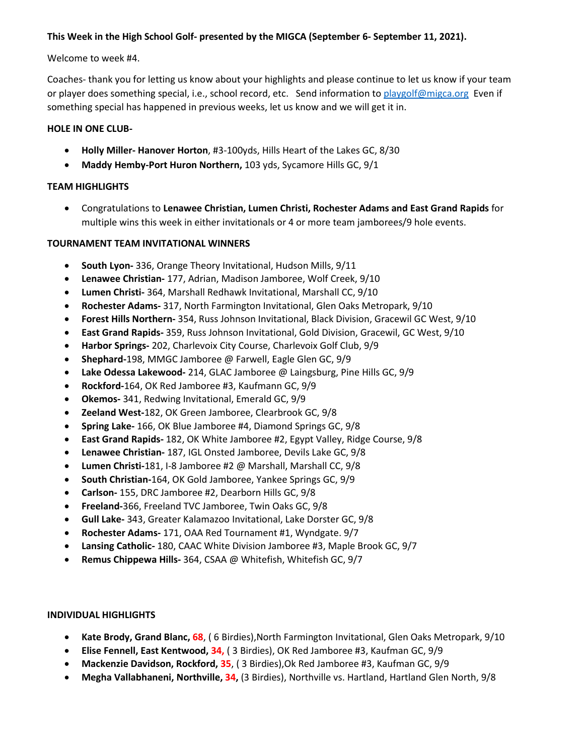# **This Week in the High School Golf- presented by the MIGCA (September 6- September 11, 2021).**

## Welcome to week #4.

Coaches- thank you for letting us know about your highlights and please continue to let us know if your team or player does something special, i.e., school record, etc. Send information to [playgolf@migca.org](mailto:playgolf@migca.org) Even if something special has happened in previous weeks, let us know and we will get it in.

## **HOLE IN ONE CLUB-**

- **Holly Miller- Hanover Horton**, #3-100yds, Hills Heart of the Lakes GC, 8/30
- **Maddy Hemby-Port Huron Northern,** 103 yds, Sycamore Hills GC, 9/1

## **TEAM HIGHLIGHTS**

• Congratulations to **Lenawee Christian, Lumen Christi, Rochester Adams and East Grand Rapids** for multiple wins this week in either invitationals or 4 or more team jamborees/9 hole events.

## **TOURNAMENT TEAM INVITATIONAL WINNERS**

- **South Lyon-** 336, Orange Theory Invitational, Hudson Mills, 9/11
- **Lenawee Christian-** 177, Adrian, Madison Jamboree, Wolf Creek, 9/10
- **Lumen Christi-** 364, Marshall Redhawk Invitational, Marshall CC, 9/10
- **Rochester Adams-** 317, North Farmington Invitational, Glen Oaks Metropark, 9/10
- **Forest Hills Northern-** 354, Russ Johnson Invitational, Black Division, Gracewil GC West, 9/10
- **East Grand Rapids-** 359, Russ Johnson Invitational, Gold Division, Gracewil, GC West, 9/10
- **Harbor Springs-** 202, Charlevoix City Course, Charlevoix Golf Club, 9/9
- **Shephard-**198, MMGC Jamboree @ Farwell, Eagle Glen GC, 9/9
- **Lake Odessa Lakewood-** 214, GLAC Jamboree @ Laingsburg, Pine Hills GC, 9/9
- **Rockford-**164, OK Red Jamboree #3, Kaufmann GC, 9/9
- **Okemos-** 341, Redwing Invitational, Emerald GC, 9/9
- **Zeeland West-**182, OK Green Jamboree, Clearbrook GC, 9/8
- **Spring Lake-** 166, OK Blue Jamboree #4, Diamond Springs GC, 9/8
- **East Grand Rapids-** 182, OK White Jamboree #2, Egypt Valley, Ridge Course, 9/8
- **Lenawee Christian-** 187, IGL Onsted Jamboree, Devils Lake GC, 9/8
- **Lumen Christi-**181, I-8 Jamboree #2 @ Marshall, Marshall CC, 9/8
- **South Christian-**164, OK Gold Jamboree, Yankee Springs GC, 9/9
- **Carlson-** 155, DRC Jamboree #2, Dearborn Hills GC, 9/8
- **Freeland-**366, Freeland TVC Jamboree, Twin Oaks GC, 9/8
- **Gull Lake-** 343, Greater Kalamazoo Invitational, Lake Dorster GC, 9/8
- **Rochester Adams-** 171, OAA Red Tournament #1, Wyndgate. 9/7
- **Lansing Catholic-** 180, CAAC White Division Jamboree #3, Maple Brook GC, 9/7
- **Remus Chippewa Hills-** 364, CSAA @ Whitefish, Whitefish GC, 9/7

#### **INDIVIDUAL HIGHLIGHTS**

- **Kate Brody, Grand Blanc, 68**, ( 6 Birdies),North Farmington Invitational, Glen Oaks Metropark, 9/10
- **Elise Fennell, East Kentwood, 34,** ( 3 Birdies), OK Red Jamboree #3, Kaufman GC, 9/9
- **Mackenzie Davidson, Rockford, 35**, ( 3 Birdies),Ok Red Jamboree #3, Kaufman GC, 9/9
- **Megha Vallabhaneni, Northville, 34,** (3 Birdies), Northville vs. Hartland, Hartland Glen North, 9/8